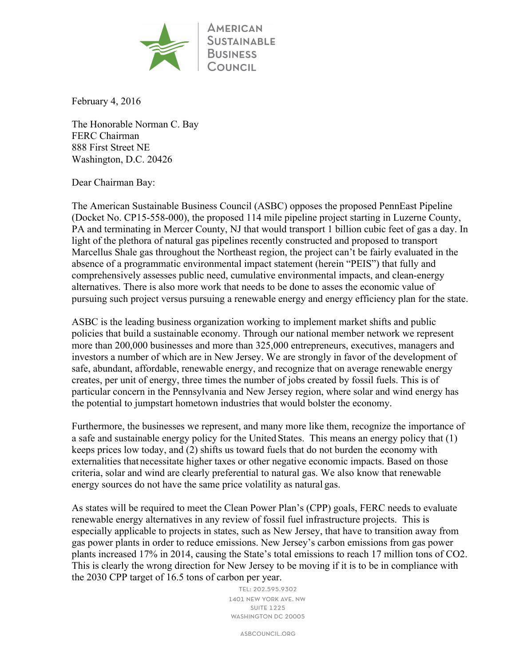

February 4, 2016

The Honorable Norman C. Bay FERC Chairman 888 First Street NE Washington, D.C. 20426

## Dear Chairman Bay:

The American Sustainable Business Council (ASBC) opposes the proposed PennEast Pipeline (Docket No. CP15-558-000), the proposed 114 mile pipeline project starting in Luzerne County, PA and terminating in Mercer County, NJ that would transport 1 billion cubic feet of gas a day. In light of the plethora of natural gas pipelines recently constructed and proposed to transport Marcellus Shale gas throughout the Northeast region, the project can't be fairly evaluated in the absence of a programmatic environmental impact statement (herein "PEIS") that fully and comprehensively assesses public need, cumulative environmental impacts, and clean-energy alternatives. There is also more work that needs to be done to asses the economic value of pursuing such project versus pursuing a renewable energy and energy efficiency plan for the state.

ASBC is the leading business organization working to implement market shifts and public policies that build a sustainable economy. Through our national member network we represent more than 200,000 businesses and more than 325,000 entrepreneurs, executives, managers and investors a number of which are in New Jersey. We are strongly in favor of the development of safe, abundant, affordable, renewable energy, and recognize that on average renewable energy creates, per unit of energy, three times the number of jobs created by fossil fuels. This is of particular concern in the Pennsylvania and New Jersey region, where solar and wind energy has the potential to jumpstart hometown industries that would bolster the economy.

Furthermore, the businesses we represent, and many more like them, recognize the importance of a safe and sustainable energy policy for the United States. This means an energy policy that (1) keeps prices low today, and (2) shifts us toward fuels that do not burden the economy with externalities that necessitate higher taxes or other negative economic impacts. Based on those criteria, solar and wind are clearly preferential to natural gas. We also know that renewable energy sources do not have the same price volatility as natural gas.

As states will be required to meet the Clean Power Plan's (CPP) goals, FERC needs to evaluate renewable energy alternatives in any review of fossil fuel infrastructure projects. This is especially applicable to projects in states, such as New Jersey, that have to transition away from gas power plants in order to reduce emissions. New Jersey's carbon emissions from gas power plants increased 17% in 2014, causing the State's total emissions to reach 17 million tons of CO2. This is clearly the wrong direction for New Jersey to be moving if it is to be in compliance with the 2030 CPP target of 16.5 tons of carbon per year.

> TEL: 202.595.9302 1401 NEW YORK AVE. NW **SUITE 1225** WASHINGTON DC 20005

> > ASBCOUNCIL.ORG